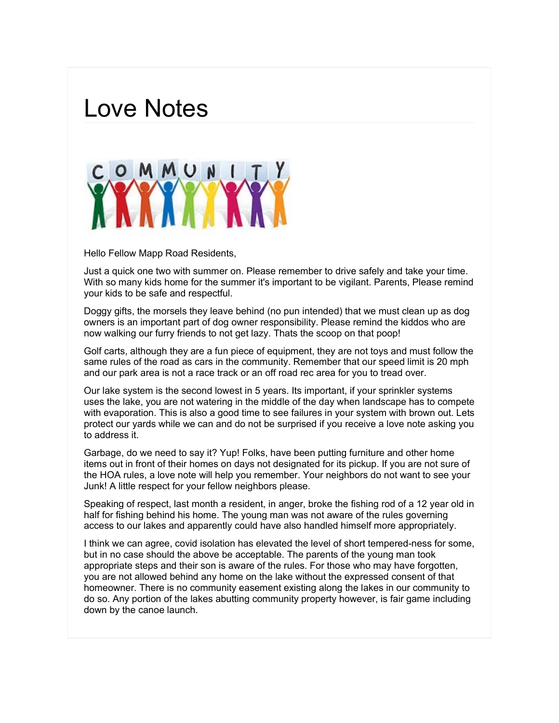## Love Notes



Hello Fellow Mapp Road Residents,

Just a quick one two with summer on. Please remember to drive safely and take your time. With so many kids home for the summer it's important to be vigilant. Parents, Please remind your kids to be safe and respectful.

Doggy gifts, the morsels they leave behind (no pun intended) that we must clean up as dog owners is an important part of dog owner responsibility. Please remind the kiddos who are now walking our furry friends to not get lazy. Thats the scoop on that poop!

Golf carts, although they are a fun piece of equipment, they are not toys and must follow the same rules of the road as cars in the community. Remember that our speed limit is 20 mph and our park area is not a race track or an off road rec area for you to tread over.

Our lake system is the second lowest in 5 years. Its important, if your sprinkler systems uses the lake, you are not watering in the middle of the day when landscape has to compete with evaporation. This is also a good time to see failures in your system with brown out. Lets protect our yards while we can and do not be surprised if you receive a love note asking you to address it.

Garbage, do we need to say it? Yup! Folks, have been putting furniture and other home items out in front of their homes on days not designated for its pickup. If you are not sure of the HOA rules, a love note will help you remember. Your neighbors do not want to see your Junk! A little respect for your fellow neighbors please.

Speaking of respect, last month a resident, in anger, broke the fishing rod of a 12 year old in half for fishing behind his home. The young man was not aware of the rules governing access to our lakes and apparently could have also handled himself more appropriately.

I think we can agree, covid isolation has elevated the level of short tempered-ness for some, but in no case should the above be acceptable. The parents of the young man took appropriate steps and their son is aware of the rules. For those who may have forgotten, you are not allowed behind any home on the lake without the expressed consent of that homeowner. There is no community easement existing along the lakes in our community to do so. Any portion of the lakes abutting community property however, is fair game including down by the canoe launch.